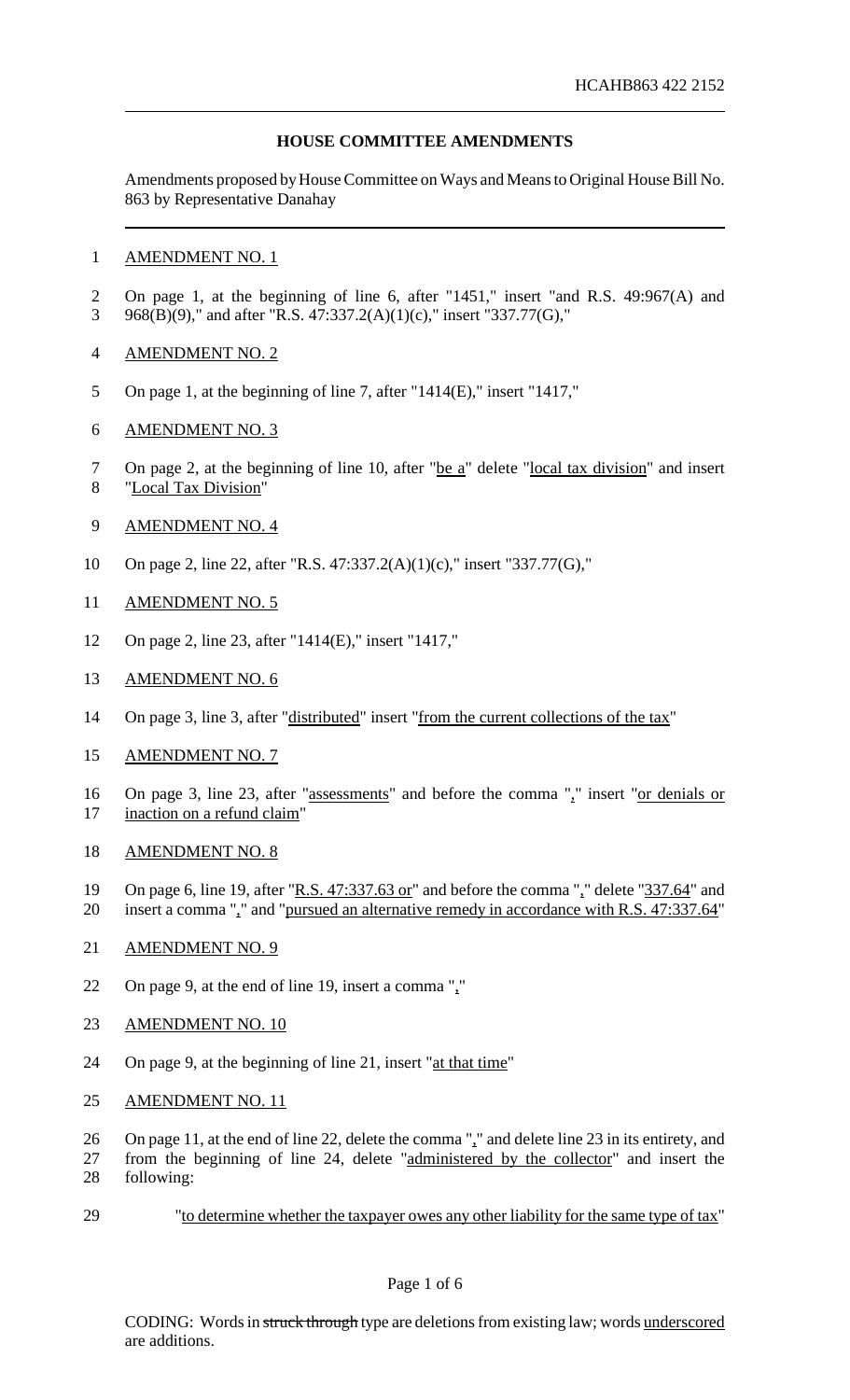# **HOUSE COMMITTEE AMENDMENTS**

Amendments proposed by House Committee on Ways and Means to Original House Bill No. 863 by Representative Danahay

### AMENDMENT NO. 1

- On page 1, at the beginning of line 6, after "1451," insert "and R.S. 49:967(A) and 968(B)(9)," and after "R.S. 47:337.2(A)(1)(c)," insert "337.77(G),"
- AMENDMENT NO. 2
- On page 1, at the beginning of line 7, after "1414(E)," insert "1417,"
- AMENDMENT NO. 3
- 7 On page 2, at the beginning of line 10, after "be a" delete "local tax division" and insert "Local Tax Division"
- AMENDMENT NO. 4
- On page 2, line 22, after "R.S. 47:337.2(A)(1)(c)," insert "337.77(G),"
- AMENDMENT NO. 5
- On page 2, line 23, after "1414(E)," insert "1417,"
- AMENDMENT NO. 6
- 14 On page 3, line 3, after "distributed" insert "from the current collections of the tax"
- AMENDMENT NO. 7
- 16 On page 3, line 23, after "assessments" and before the comma "," insert "or denials or 17 inaction on a refund claim"
- AMENDMENT NO. 8
- 19 On page 6, line 19, after "R.S. 47:337.63 or" and before the comma "," delete "337.64" and insert a comma "," and "pursued an alternative remedy in accordance with R.S. 47:337.64"
- AMENDMENT NO. 9
- On page 9, at the end of line 19, insert a comma ","
- 23 AMENDMENT NO. 10
- 24 On page 9, at the beginning of line 21, insert "at that time"
- AMENDMENT NO. 11
- On page 11, at the end of line 22, delete the comma "," and delete line 23 in its entirety, and
- from the beginning of line 24, delete "administered by the collector" and insert the following:
- "to determine whether the taxpayer owes any other liability for the same type of tax"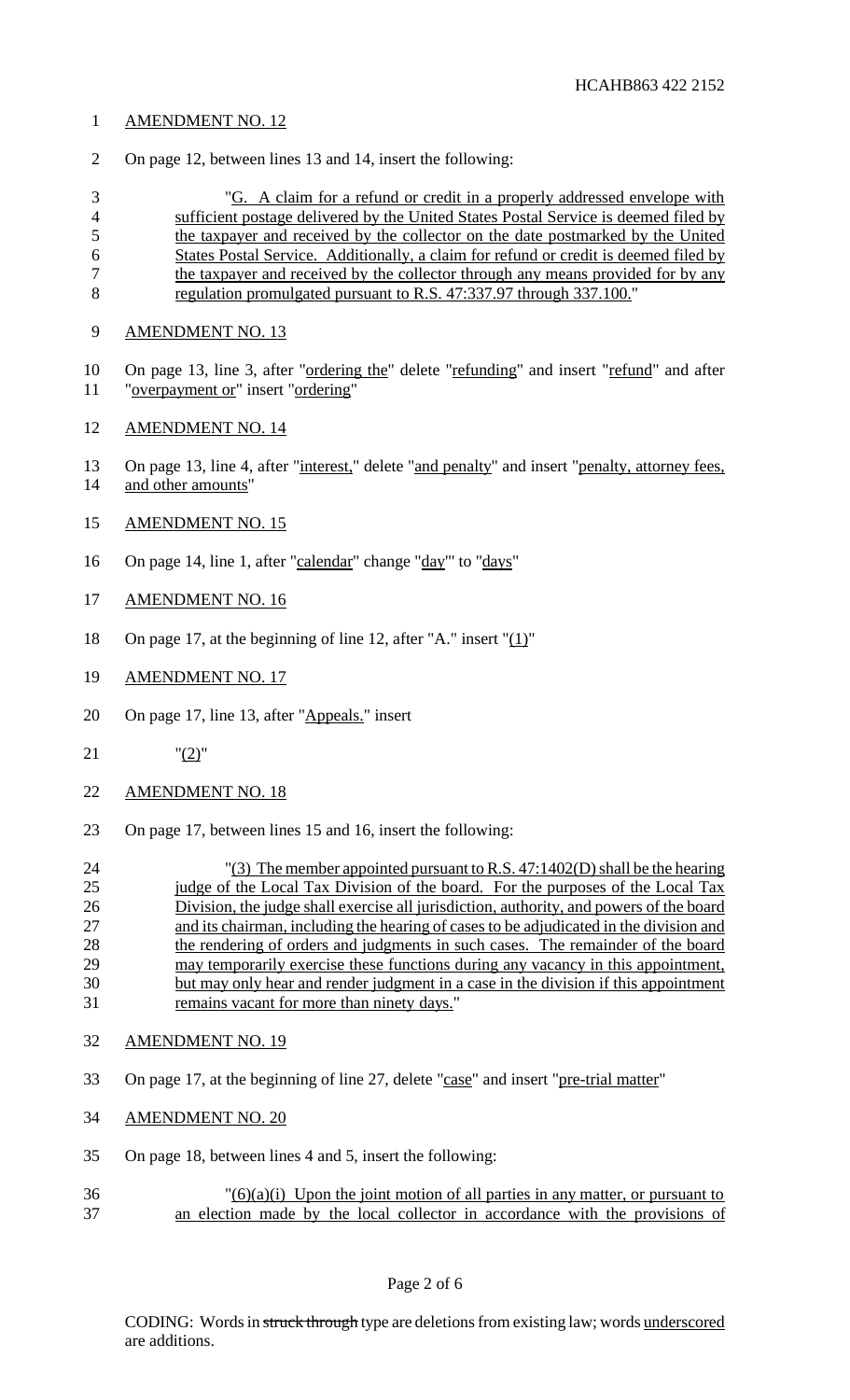# AMENDMENT NO. 12

On page 12, between lines 13 and 14, insert the following:

 "G. A claim for a refund or credit in a properly addressed envelope with sufficient postage delivered by the United States Postal Service is deemed filed by the taxpayer and received by the collector on the date postmarked by the United States Postal Service. Additionally, a claim for refund or credit is deemed filed by 7 the taxpayer and received by the collector through any means provided for by any regulation promulgated pursuant to R.S. 47:337.97 through 337.100."

- AMENDMENT NO. 13
- 10 On page 13, line 3, after "ordering the" delete "refunding" and insert "refund" and after "overpayment or" insert "ordering"
- AMENDMENT NO. 14
- 13 On page 13, line 4, after "interest," delete "and penalty" and insert "penalty, attorney fees, and other amounts"
- AMENDMENT NO. 15
- 16 On page 14, line 1, after "calendar" change "day" to "days"
- AMENDMENT NO. 16
- 18 On page 17, at the beginning of line 12, after "A." insert " $(1)$ "
- AMENDMENT NO. 17
- 20 On page 17, line 13, after "Appeals." insert
- "(2)"
- AMENDMENT NO. 18
- On page 17, between lines 15 and 16, insert the following:
- "(3) The member appointed pursuant to R.S. 47:1402(D) shall be the hearing 25 judge of the Local Tax Division of the board. For the purposes of the Local Tax Division, the judge shall exercise all jurisdiction, authority, and powers of the board and its chairman, including the hearing of cases to be adjudicated in the division and 28 the rendering of orders and judgments in such cases. The remainder of the board may temporarily exercise these functions during any vacancy in this appointment, but may only hear and render judgment in a case in the division if this appointment remains vacant for more than ninety days."
- AMENDMENT NO. 19
- On page 17, at the beginning of line 27, delete "case" and insert "pre-trial matter"
- AMENDMENT NO. 20
- On page 18, between lines 4 and 5, insert the following:
- $\frac{36}{26}$  (3)(3)(3) Upon the joint motion of all parties in any matter, or pursuant to an election made by the local collector in accordance with the provisions of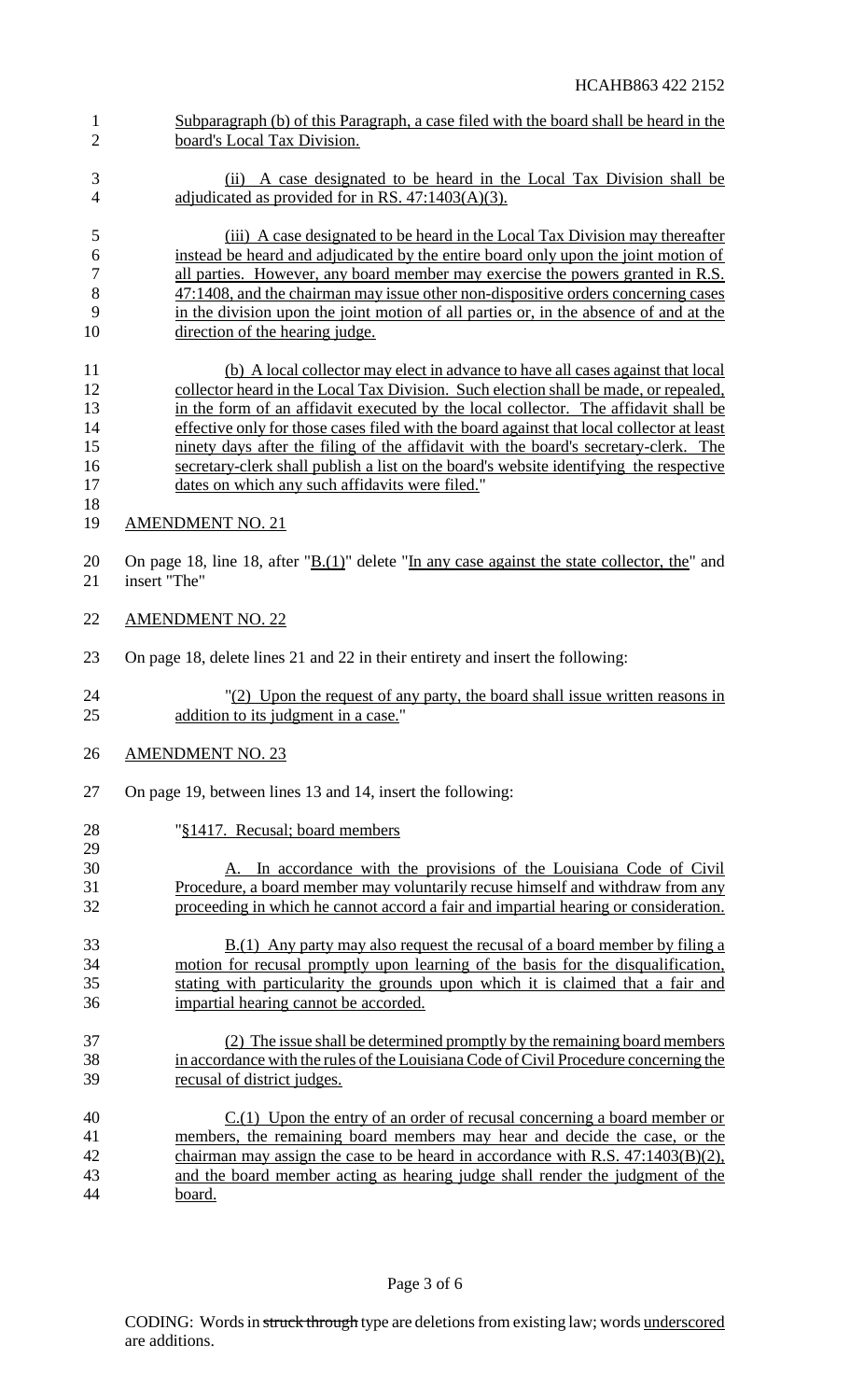board's Local Tax Division. (ii) A case designated to be heard in the Local Tax Division shall be 4 adjudicated as provided for in RS. 47:1403(A)(3). (iii) A case designated to be heard in the Local Tax Division may thereafter instead be heard and adjudicated by the entire board only upon the joint motion of 7 all parties. However, any board member may exercise the powers granted in R.S. 47:1408, and the chairman may issue other non-dispositive orders concerning cases in the division upon the joint motion of all parties or, in the absence of and at the 10 direction of the hearing judge. (b) A local collector may elect in advance to have all cases against that local collector heard in the Local Tax Division. Such election shall be made, or repealed, in the form of an affidavit executed by the local collector. The affidavit shall be 14 effective only for those cases filed with the board against that local collector at least ninety days after the filing of the affidavit with the board's secretary-clerk. The secretary-clerk shall publish a list on the board's website identifying the respective dates on which any such affidavits were filed." AMENDMENT NO. 21 20 On page 18, line 18, after " $\underline{B(1)}$ " delete "In any case against the state collector, the" and<br>21 insert "The" insert "The" AMENDMENT NO. 22 On page 18, delete lines 21 and 22 in their entirety and insert the following: "(2) Upon the request of any party, the board shall issue written reasons in 25 addition to its judgment in a case." AMENDMENT NO. 23 On page 19, between lines 13 and 14, insert the following: "§1417. Recusal; board members A. In accordance with the provisions of the Louisiana Code of Civil Procedure, a board member may voluntarily recuse himself and withdraw from any proceeding in which he cannot accord a fair and impartial hearing or consideration. 33 B.(1) Any party may also request the recusal of a board member by filing a motion for recusal promptly upon learning of the basis for the disqualification, stating with particularity the grounds upon which it is claimed that a fair and impartial hearing cannot be accorded. (2) The issue shall be determined promptly by the remaining board members in accordance with the rules of the LouisianaCode of Civil Procedure concerning the recusal of district judges. C.(1) Upon the entry of an order of recusal concerning a board member or members, the remaining board members may hear and decide the case, or the chairman may assign the case to be heard in accordance with R.S. 47:1403(B)(2), and the board member acting as hearing judge shall render the judgment of the board.

Subparagraph (b) of this Paragraph, a case filed with the board shall be heard in the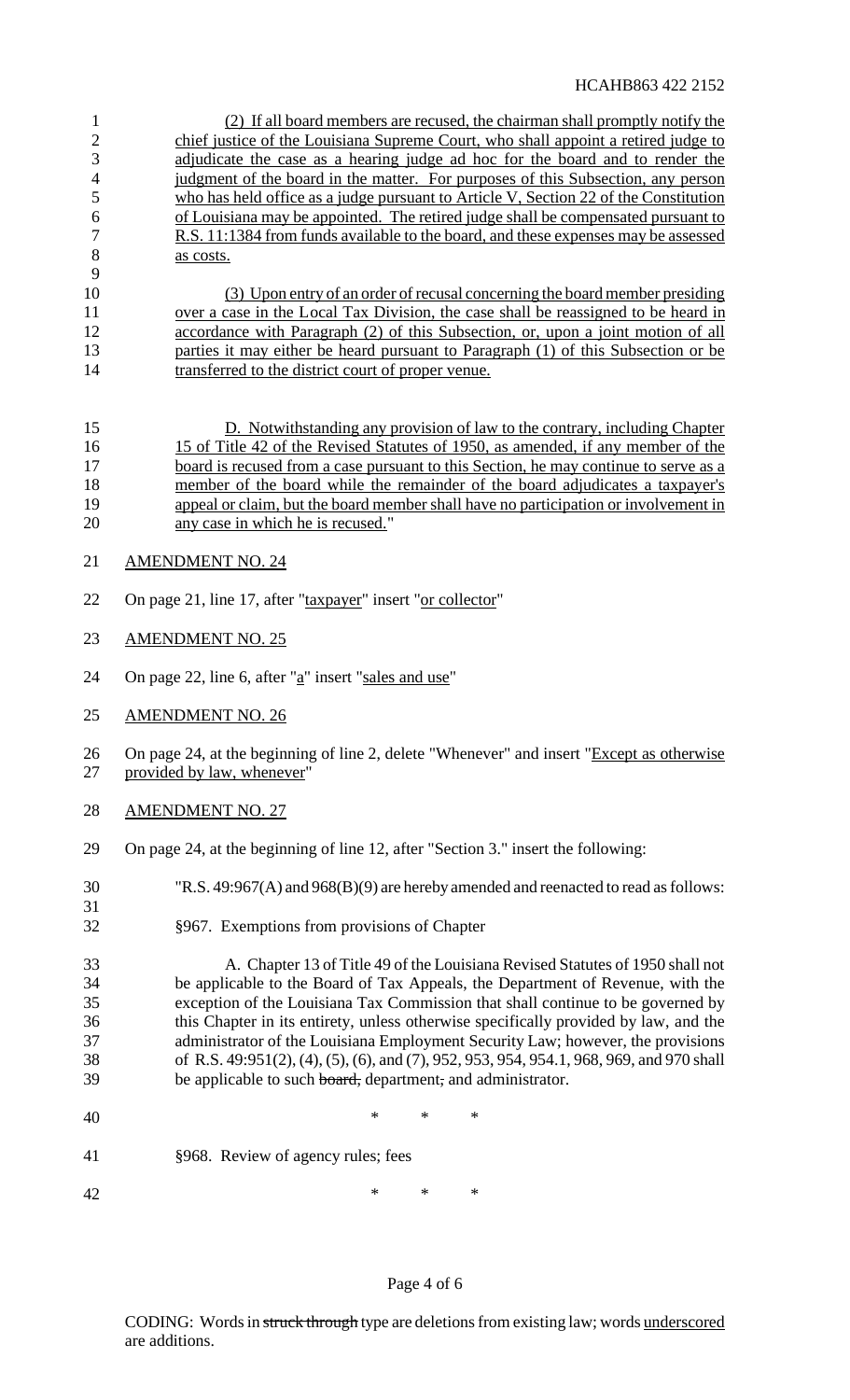(2) If all board members are recused, the chairman shall promptly notify the chief justice of the Louisiana Supreme Court, who shall appoint a retired judge to adjudicate the case as a hearing judge ad hoc for the board and to render the 4 judgment of the board in the matter. For purposes of this Subsection, any person who has held office as a judge pursuant to Article V, Section 22 of the Constitution of Louisiana may be appointed. The retired judge shall be compensated pursuant to R.S. 11:1384 from funds available to the board, and these expenses may be assessed 8 as costs.

 (3) Upon entry of an order of recusal concerning the board member presiding 11 over a case in the Local Tax Division, the case shall be reassigned to be heard in 12 accordance with Paragraph (2) of this Subsection, or, upon a joint motion of all 13 parties it may either be heard pursuant to Paragraph (1) of this Subsection or be 14 transferred to the district court of proper venue.

 D. Notwithstanding any provision of law to the contrary, including Chapter 15 of Title 42 of the Revised Statutes of 1950, as amended, if any member of the 17 board is recused from a case pursuant to this Section, he may continue to serve as a member of the board while the remainder of the board adjudicates a taxpayer's appeal or claim, but the board member shall have no participation or involvement in any case in which he is recused."

21 AMENDMENT NO. 24

- 22 On page 21, line 17, after "taxpayer" insert "or collector"
- AMENDMENT NO. 25
- 24 On page 22, line 6, after " $a$ " insert "sales and use"
- AMENDMENT NO. 26

26 On page 24, at the beginning of line 2, delete "Whenever" and insert "Except as otherwise provided by law, whenever"

AMENDMENT NO. 27

- On page 24, at the beginning of line 12, after "Section 3." insert the following:
- "R.S. 49:967(A) and 968(B)(9) are hereby amended and reenacted to read asfollows:
- §967. Exemptions from provisions of Chapter

 A. Chapter 13 of Title 49 of the Louisiana Revised Statutes of 1950 shall not be applicable to the Board of Tax Appeals, the Department of Revenue, with the exception of the Louisiana Tax Commission that shall continue to be governed by this Chapter in its entirety, unless otherwise specifically provided by law, and the administrator of the Louisiana Employment Security Law; however, the provisions of R.S. 49:951(2), (4), (5), (6), and (7), 952, 953, 954, 954.1, 968, 969, and 970 shall 39 be applicable to such board, department, and administrator.

- 40 \* \* \* \*
- §968. Review of agency rules; fees

42 \* \* \* \*

### Page 4 of 6

CODING: Words in struck through type are deletions from existing law; words underscored are additions.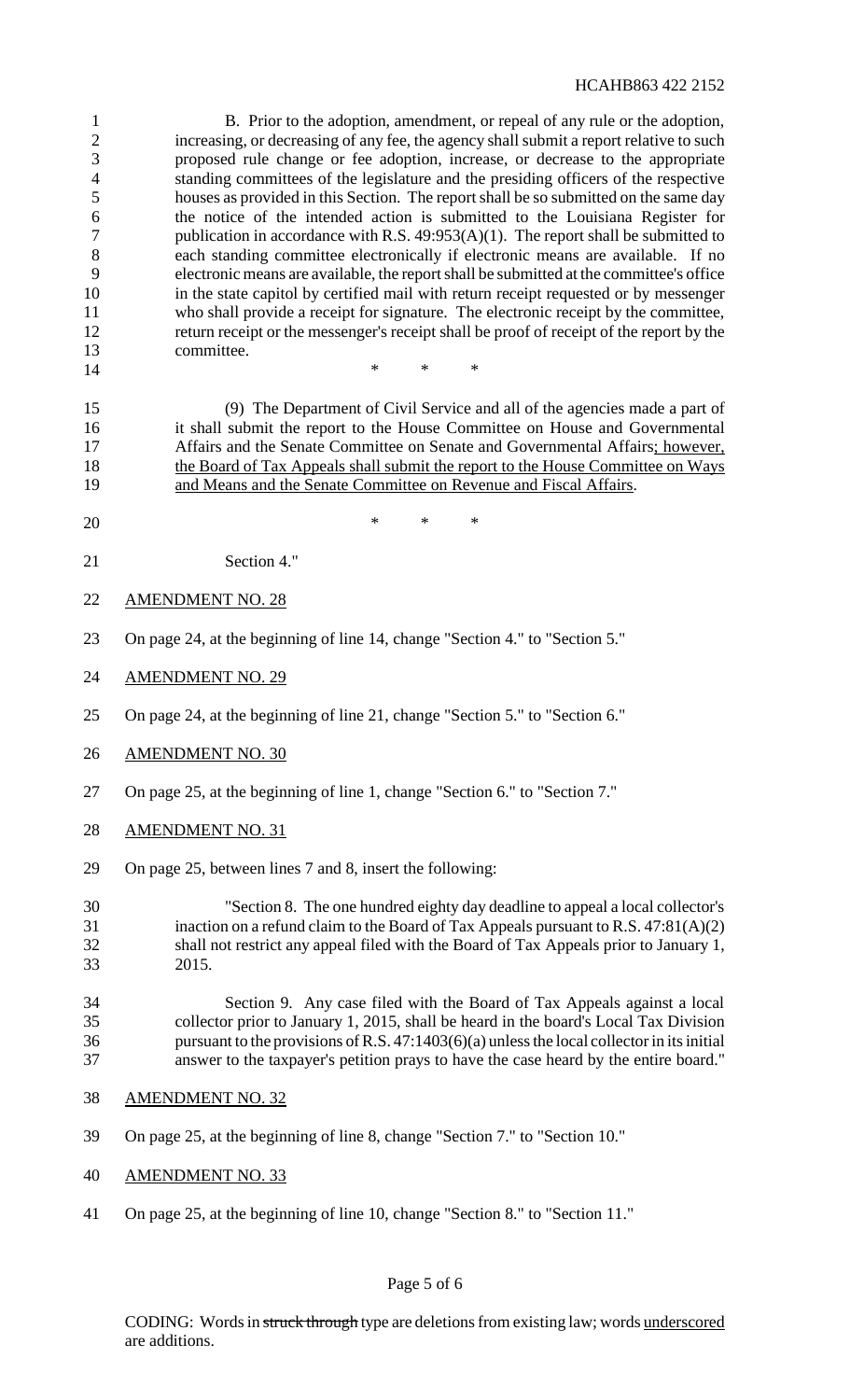### HCAHB863 422 2152

 B. Prior to the adoption, amendment, or repeal of any rule or the adoption, increasing, or decreasing of any fee, the agency shall submit a report relative to such proposed rule change or fee adoption, increase, or decrease to the appropriate standing committees of the legislature and the presiding officers of the respective houses as provided in this Section. The report shall be so submitted on the same day the notice of the intended action is submitted to the Louisiana Register for 7 publication in accordance with R.S. 49:953(A)(1). The report shall be submitted to each standing committee electronically if electronic means are available. If no electronic means are available, the reportshall be submitted at the committee's office in the state capitol by certified mail with return receipt requested or by messenger who shall provide a receipt for signature. The electronic receipt by the committee, return receipt or the messenger's receipt shall be proof of receipt of the report by the committee. \* \* \*

 (9) The Department of Civil Service and all of the agencies made a part of it shall submit the report to the House Committee on House and Governmental 17 Affairs and the Senate Committee on Senate and Governmental Affairs; however, the Board of Tax Appeals shall submit the report to the House Committee on Ways and Means and the Senate Committee on Revenue and Fiscal Affairs.

- $*$  \* \* \*
- Section 4."
- AMENDMENT NO. 28
- On page 24, at the beginning of line 14, change "Section 4." to "Section 5."
- AMENDMENT NO. 29
- On page 24, at the beginning of line 21, change "Section 5." to "Section 6."
- AMENDMENT NO. 30
- On page 25, at the beginning of line 1, change "Section 6." to "Section 7."
- AMENDMENT NO. 31
- On page 25, between lines 7 and 8, insert the following:

 "Section 8. The one hundred eighty day deadline to appeal a local collector's inaction on a refund claim to the Board of Tax Appeals pursuant to R.S. 47:81(A)(2) shall not restrict any appeal filed with the Board of Tax Appeals prior to January 1, 2015.

### Section 9. Any case filed with the Board of Tax Appeals against a local collector prior to January 1, 2015, shall be heard in the board's Local Tax Division pursuant to the provisions ofR.S. 47:1403(6)(a) unlessthe local collectorin itsinitial answer to the taxpayer's petition prays to have the case heard by the entire board."

- AMENDMENT NO. 32
- On page 25, at the beginning of line 8, change "Section 7." to "Section 10."
- AMENDMENT NO. 33
- On page 25, at the beginning of line 10, change "Section 8." to "Section 11."